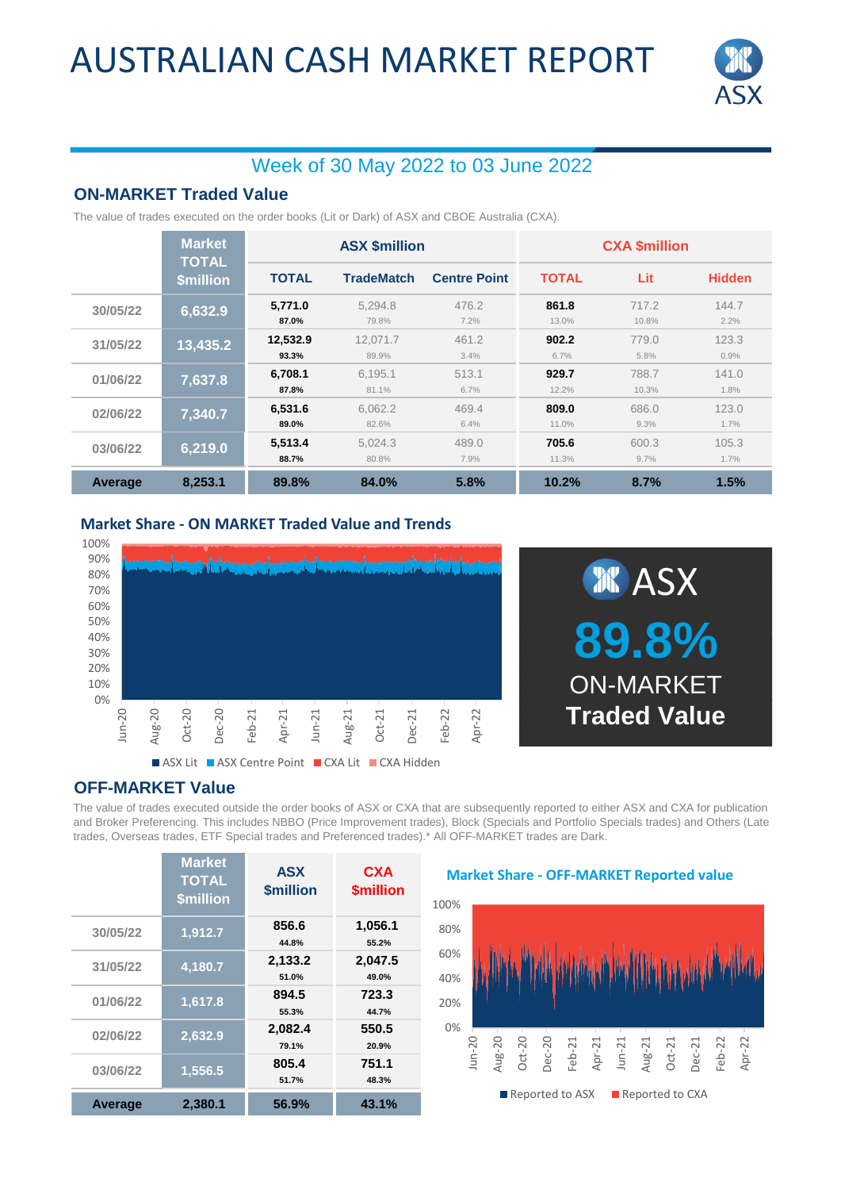# AUSTRALIAN CASH MARKET REPORT



## Week of 30 May 2022 to 03 June 2022

#### **ON-MARKET Traded Value**

The value of trades executed on the order books (Lit or Dark) of ASX and CBOE Australia (CXA).

|          | <b>Market</b><br><b>TOTAL</b> | <b>ASX \$million</b> |                   |                     | <b>CXA \$million</b> |                |               |  |
|----------|-------------------------------|----------------------|-------------------|---------------------|----------------------|----------------|---------------|--|
|          | <b>\$million</b>              | <b>TOTAL</b>         | <b>TradeMatch</b> | <b>Centre Point</b> | <b>TOTAL</b>         | Lit            | <b>Hidden</b> |  |
| 30/05/22 | 6,632.9                       | 5,771.0<br>87.0%     | 5,294.8<br>79.8%  | 476.2<br>7.2%       | 861.8<br>13.0%       | 717.2<br>10.8% | 144.7<br>2.2% |  |
| 31/05/22 | 13,435.2                      | 12.532.9<br>93.3%    | 12.071.7<br>89.9% | 461.2<br>3.4%       | 902.2<br>6.7%        | 779.0<br>5.8%  | 123.3<br>0.9% |  |
| 01/06/22 | 7,637.8                       | 6.708.1<br>87.8%     | 6.195.1<br>81.1%  | 513.1<br>6.7%       | 929.7<br>12.2%       | 788.7<br>10.3% | 141.0<br>1.8% |  |
| 02/06/22 | 7,340.7                       | 6,531.6<br>89.0%     | 6.062.2<br>82.6%  | 469.4<br>6.4%       | 809.0<br>11.0%       | 686.0<br>9.3%  | 123.0<br>1.7% |  |
| 03/06/22 | 6,219.0                       | 5,513.4<br>88.7%     | 5.024.3<br>80.8%  | 489.0<br>7.9%       | 705.6<br>11.3%       | 600.3<br>9.7%  | 105.3<br>1.7% |  |
| Average  | 8.253.1                       | 89.8%                | 84.0%             | 5.8%                | 10.2%                | 8.7%           | 1.5%          |  |

#### **Market Share - ON MARKET Traded Value and Trends**





#### **OFF-MARKET Value**

The value of trades executed outside the order books of ASX or CXA that are subsequently reported to either ASX and CXA for publication and Broker Preferencing. This includes NBBO (Price Improvement trades), Block (Specials and Portfolio Specials trades) and Others (Late trades, Overseas trades, ETF Special trades and Preferenced trades).\* All OFF-MARKET trades are Dark.

|          | <b>Market</b><br><b>TOTAL</b><br>\$million | <b>ASX</b><br><b>\$million</b> | <b>CXA</b><br><b><i><u>Smillion</u></i></b> |
|----------|--------------------------------------------|--------------------------------|---------------------------------------------|
| 30/05/22 | 1,912.7                                    | 856.6<br>44.8%                 | 1,056.1<br>55.2%                            |
| 31/05/22 | 4,180.7                                    | 2,133.2<br>51.0%               | 2,047.5<br>49.0%                            |
| 01/06/22 | 1,617.8                                    | 894.5<br>55.3%                 | 723.3<br>44.7%                              |
| 02/06/22 | 2,632.9                                    | 2,082.4<br>79.1%               | 550.5<br>20.9%                              |
| 03/06/22 | 1,556.5                                    | 805.4<br>51.7%                 | 751.1<br>48.3%                              |
| Average  | 2,380.1                                    | 56.9%                          | 43.1%                                       |

#### **Market Share - OFF-MARKET Reported value**